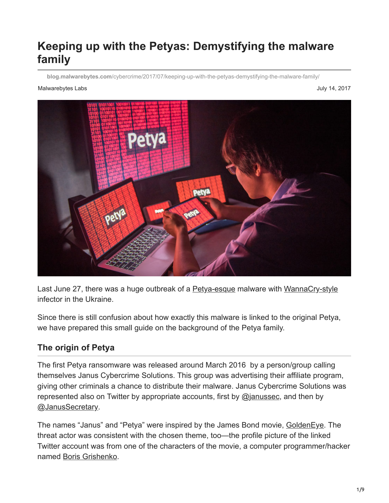# **Keeping up with the Petyas: Demystifying the malware family**

**blog.malwarebytes.com**[/cybercrime/2017/07/keeping-up-with-the-petyas-demystifying-the-malware-family/](https://blog.malwarebytes.com/cybercrime/2017/07/keeping-up-with-the-petyas-demystifying-the-malware-family/)

#### Malwarebytes Labs July 14, 2017



Last June 27, there was a huge outbreak of a [Petya-esque](https://blog.malwarebytes.com/cybercrime/2017/06/petya-esque-ransomware-is-spreading-across-the-world/) malware with [WannaCry-style](https://blog.malwarebytes.com/threat-analysis/2017/05/the-worm-that-spreads-wanacrypt0r/) infector in the Ukraine.

Since there is still confusion about how exactly this malware is linked to the original Petya, we have prepared this small guide on the background of the Petya family.

## **The origin of Petya**

The first Petya ransomware was released around March 2016 by a person/group calling themselves Janus Cybercrime Solutions. This group was advertising their affiliate program, giving other criminals a chance to distribute their malware. Janus Cybercrime Solutions was represented also on Twitter by appropriate accounts, first by [@janussec](https://twitter.com/janussec), and then by [@JanusSecretary](https://twitter.com/JanusSecretary).

The names "Janus" and "Petya" were inspired by the James Bond movie, [GoldenEye.](http://www.imdb.com/title/tt0113189/) The threat actor was consistent with the chosen theme, too—the profile picture of the linked Twitter account was from one of the characters of the movie, a computer programmer/hacker named [Boris Grishenko](http://jamesbond.wikia.com/wiki/Boris_Grishenko).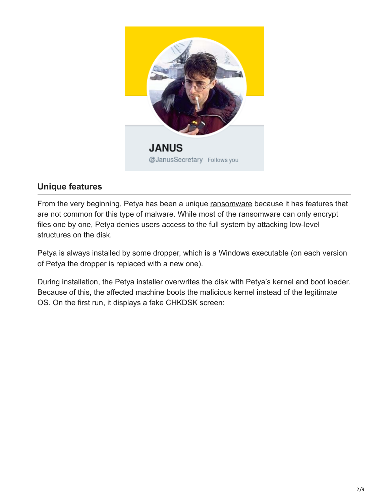

## **Unique features**

From the very beginning, Petya has been a unique [ransomware](https://www.malwarebytes.com/ransomware) because it has features that are not common for this type of malware. While most of the ransomware can only encrypt files one by one, Petya denies users access to the full system by attacking low-level structures on the disk.

Petya is always installed by some dropper, which is a Windows executable (on each version of Petya the dropper is replaced with a new one).

During installation, the Petya installer overwrites the disk with Petya's kernel and boot loader. Because of this, the affected machine boots the malicious kernel instead of the legitimate OS. On the first run, it displays a fake CHKDSK screen: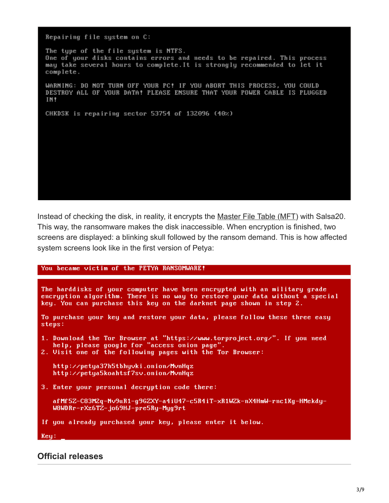Repairing file system on C: The type of the file system is NTFS. One of your disks contains errors and needs to be repaired. This process may take several hours to complete. It is strongly recommended to let it complete. WARNING: DO NOT TURN OFF YOUR PC! IF YOU ABORT THIS PROCESS, YOU COULD DESTROY ALL OF YOUR DATA! PLEASE ENSURE THAT YOUR POWER CABLE IS PLUGGED IN! CHKDSK is repairing sector 53754 of 132096 (40%)

Instead of checking the disk, in reality, it encrypts the Master File Table (MFT) with Salsa20. This way, the ransomware makes the disk inaccessible. When encryption is finished, two screens are displayed: a blinking skull followed by the ransom demand. This is how affected system screens look like in the first version of Petya:

#### You became victim of the PETYA RANSOMWARE!

The harddisks of your computer have been encrypted with an military grade encryption algorithm. There is no way to restore your data without a special key. You can purchase this key on the darknet page shown in step 2.

```
To purchase your key and restore your data, please follow these three easy
steps:
```
1. Download the Tor Browser at "https://www.torproject.org/". If you need<br>help, please google for "access onion page".<br>2. Visit one of the following pages with the Tor Browser:

```
http://petya37h5tbhyvki.onion/MvnHqz
http://petya5koahtsf7sv.onion/MvnHqz
```
3. Enter your personal decryption code there:

```
afMf5Z-C83M2q-Nv9uR1-g9GZXY-a4iU47-c5R4iT-xR1WZk-nX4HmW-rnc1Kg-HMekdy-
W8WDRr-rXz6TZ-jo69HJ-pre5Ry-Myg9rt
```
If you already purchased your key, please enter it below.

 $Reu$ :

#### **Official releases**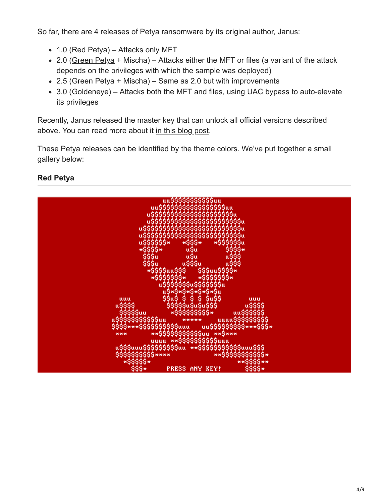So far, there are 4 releases of Petya ransomware by its original author, Janus:

- $\bullet$  1.0 ([Red Petya](https://blog.malwarebytes.com/threat-analysis/2016/04/petya-ransomware/)) Attacks only MFT
- 2.0 ([Green Petya](https://blog.malwarebytes.com/threat-analysis/2016/05/petya-and-mischa-ransomware-duet-p1/) + Mischa) Attacks either the MFT or files (a variant of the attack depends on the privileges with which the sample was deployed)
- 2.5 (Green Petya + Mischa) Same as 2.0 but with improvements
- 3.0 ([Goldeneye](https://blog.malwarebytes.com/threat-analysis/2016/12/goldeneye-ransomware-the-petyamischa-combo-rebranded/)) Attacks both the MFT and files, using UAC bypass to auto-elevate its privileges

Recently, Janus released the master key that can unlock all official versions described above. You can read more about it [in this blog post](https://blog.malwarebytes.com/cybercrime/2017/07/the-key-to-the-old-petya-has-been-published-by-the-malware-author/?utm_source=blog&utm_medium=social).

These Petya releases can be identified by the theme colors. We've put together a small gallery below:

## **Red Petya**

| uu\$\$\$\$\$\$\$\$\$\$\$ <b>uu</b>                                   |
|----------------------------------------------------------------------|
| uu\$\$\$\$\$\$\$\$\$\$\$\$\$\$\$\$\$uu                               |
|                                                                      |
| u\$\$\$\$\$\$\$\$\$\$\$\$\$\$\$\$\$\$\$\$\$                          |
|                                                                      |
| u\$\$\$\$\$\$\$\$\$\$\$\$\$\$\$\$\$\$\$\$\$\$\$                      |
| u\$\$\$\$\$\$\$\$\$\$\$\$\$\$\$\$\$\$\$\$\$\$\$\$\$                  |
|                                                                      |
| u\$\$\$\$\$\$\$\$\$\$\$\$\$\$\$\$\$\$\$\$\$\$\$\$\$\$                |
| $*555*$<br>*\$\$\$\$\$\$u<br>u\$\$\$\$\$\$*                          |
|                                                                      |
| *\$\$\$\$*<br>\$\$\$\$*<br>u\$u                                      |
| <b><i>u\$\$\$</i></b><br>uŚu<br>\$\$\$u                              |
|                                                                      |
| u\$\$\$<br>\$\$\$u<br>u\$\$\$u                                       |
|                                                                      |
| \$\$\$uu\$\$\$\$*<br>∗\$\$\$\$uu\$\$\$                               |
| $*$ \$\$\$\$\$\$\$*<br>*\$\$\$\$\$\$\$*                              |
|                                                                      |
| u\$\$\$\$\$\$\$u\$\$\$\$\$\$\$w                                      |
| u\$*\$*\$*\$*\$*\$*\$u                                               |
|                                                                      |
| \$\$u\$ \$ \$ \$ \$u\$\$<br>uuu<br>uuu                               |
| \$\$\$\$\$u\$u\$u\$\$\$<br>u\$\$\$\$<br>u\$\$\$\$                    |
|                                                                      |
| $*$ \$\$\$\$\$\$\$\$\$*<br>\$\$\$\$\$uu<br>uu\$\$\$\$\$\$            |
| uuuu\$\$\$\$\$\$\$\$\$<br>u\$\$\$\$\$\$\$\$\$\$\$uu<br>*****         |
|                                                                      |
| \$\$\$\$***\$\$\$\$\$\$\$\$\$\$\$uuu uu\$\$\$\$\$\$\$\$\$****\$\$\$* |
|                                                                      |
| **\$\$\$\$\$\$\$\$\$\$\$\$uu **\$***                                 |
| uuuu ** \$\$\$\$\$\$\$\$\$\$\$uuu                                    |
|                                                                      |
| u\$\$\$uuu\$\$\$\$\$\$\$\$\$\$uu **\$\$\$\$\$\$\$\$\$\$\$\$uuu\$\$\$ |
| **\$\$\$\$\$\$\$\$\$\$\$*<br>\$\$\$\$\$\$\$\$\$\$****                |
|                                                                      |
| *\$\$\$\$\$*<br>**\$\$\$\$**                                         |
| \$\$\$*<br>PRESS ANY KEY!                                            |
|                                                                      |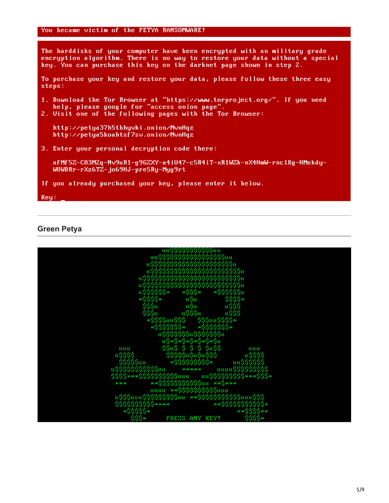The harddisks of your computer have been encrypted with an military grade<br>encryption algorithm. There is no way to restore your data without a special key. You can purchase this key on the darknet page shown in step 2.

To purchase your key and restore your data, please follow these three easy steps:

- 1. Download the Tor Browser at "https://www.torproject.org/". If you need<br>help, please google for "access onion page".<br>2. Visit one of the following pages with the Tor Browser:
- 

http://petya37h5tbhyvki.onion/MvnHqz http://petya5koahtsf7sv.onion/MvnHqz

3. Enter your personal decryption code there:

afMf5Z-C83M2q-Nv9uR1-g9GZXY-a4iU47-c5R4iT-xR1WZk-nX4HmW-rnc1Kg-HMekdy-W8WDRr-rXz6TZ-jo69HJ-pre5Ry-Myg9rt

If you already purchased your key, please enter it below.

 $Key:$ 

#### **Green Petya**

| սս55555555555աս                                                        |
|------------------------------------------------------------------------|
| uu\$\$\$\$\$\$\$\$\$\$\$\$\$\$\$\$\$\$uu                               |
|                                                                        |
| usssssssssssssssssssssssu                                              |
| ussssssssssssssssssssssssss                                            |
|                                                                        |
|                                                                        |
|                                                                        |
|                                                                        |
| $*555*$<br>*\$\$\$\$\$\$u                                              |
| u\$\$\$\$\$\$*<br>*\$\$\$\$*<br>\$\$\$\$*<br>u\$u                      |
|                                                                        |
| \$\$\$u<br>u\$u<br>u\$\$\$                                             |
| \$\$\$u<br><b>u\$\$\$</b><br>u\$\$\$u                                  |
|                                                                        |
| *\$\$\$\$uu\$\$\$<br>\$\$\$uu\$\$\$\$*<br>*\$\$\$\$\$\$\$*             |
| $*$ \$\$\$\$\$\$\$*                                                    |
|                                                                        |
| u\$\$\$\$\$\$\$u\$\$\$\$\$\$\$u                                        |
| u\$*\$*\$*\$*\$*\$*\$u                                                 |
|                                                                        |
| \$\$u\$ \$ \$ \$ \$u\$\$<br>սսս<br>սսս                                 |
| \$\$\$\$\$u\$u\$u\$\$\$<br>u\$\$\$\$<br>u\$\$\$\$                      |
|                                                                        |
| $*$ \$\$\$\$\$\$\$\$\$*<br>\$\$\$\$\$uu                                |
| u\$\$\$\$\$\$\$\$\$\$\$uu<br>*****                                     |
| \$\$\$\$***\$\$\$\$\$\$\$\$\$\$\$uuu<br>uu\$\$\$\$\$\$\$\$\$***\$\$\$* |
|                                                                        |
| **\$\$\$\$\$\$\$\$\$\$\$\$uu **\$***<br>***                            |
| uuuu **\$\$\$\$\$\$\$\$\$\$\$uuu                                       |
|                                                                        |
| **\$\$\$\$\$\$\$\$\$\$\$www\$\$\$<br>u\$\$\$uuu\$\$\$\$\$\$\$\$\$uu    |
| \$\$\$\$\$\$\$\$\$\$****<br>** \$\$\$\$\$\$\$\$\$\$\$*                 |
|                                                                        |
| *\$\$\$\$\$*<br>**\$\$\$\$**                                           |
| PRESS ANY KEY!                                                         |
|                                                                        |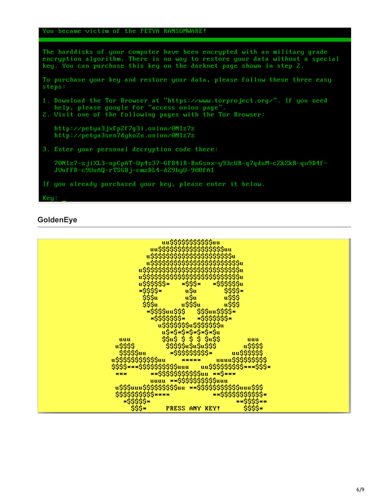```
You became victim of the PETYA RANSOMWARE!
```

```
The harddisks of your computer have been encrypted with an military grade
encryption algorithm. There is no way to restore your data without a special
key. You can purchase this key on the darknet page shown in step 2.
To purchase your key and restore your data, please follow these three easy
steps:
1. Download the Tor Browser at "https://www.torproject.org/". If you need help, please google for "access onion page".
2. Visit one of the following pages with the Tor Browser:
   http://petya3jxfp2f7g3i.onion/0N1z7z
   http://petya3sen7dyko2n.onion/0N1z7z
3. Enter your personal decryption code there:
   70M1z7-zjiXL3-npCpAT-Up4s37-GFB4iR-BnGsnx-y93cUR-q7qduM-cZkZkR-qo9D4f-
   JVufFR-c9UuAQ-rTSGBj-cmzDL4-dZ9hyU-908fA1
If you already purchased your key, please enter it below.
Key:
```
#### **GoldenEye**

| uu\$\$\$\$\$\$\$\$\$\$\$ <sub>uu</sub>                                                                                    |
|---------------------------------------------------------------------------------------------------------------------------|
| uu\$\$\$\$\$\$\$\$\$\$\$\$\$\$\$\$\$uu<br>usssssssssssssssssssssssu                                                       |
| u\$\$\$\$\$\$\$\$\$\$\$\$\$\$\$\$\$\$\$\$\$\$\$                                                                           |
| u\$\$\$\$\$\$\$\$\$\$\$\$\$\$\$\$\$\$\$\$\$\$\$\$\$<br>u\$\$\$\$\$\$\$\$\$\$\$\$\$\$\$\$\$\$\$\$\$\$\$\$\$\$              |
| *\$\$\$*<br>*\$\$\$\$\$\$u<br>u\$\$\$\$\$\$*                                                                              |
| ∗\$\$\$\$*<br> }\$\$\$u<br>\$\$\$\$*                                                                                      |
| uŞu<br>uŞu<br>uŞŞŞu<br><i>u\$\$\$</i><br>\$\$\$u<br>uŠŠŠ                                                                  |
| *\$\$\$\$uu\$\$\$<br>\$\$\$uu\$\$\$\$*                                                                                    |
| *\$\$\$\$\$\$\$*<br>*\$\$\$\$\$\$\$*                                                                                      |
| u\$\$\$\$\$\$\$u\$\$\$\$\$\$\$u                                                                                           |
| u\$*\$*\$*\$*\$*\$*\$u<br>\$\$u\$ \$ \$ \$ \$u\$\$<br>uuu<br>uuu                                                          |
| \$\$\$\$\$u\$u\$u\$\$\$<br>u\$\$\$\$<br>u\$\$\$\$                                                                         |
| $*$ \$\$\$\$\$\$\$\$\$*<br>\$\$\$\$\$uu<br>uu\$\$\$\$\$\$<br>uuuu\$\$\$\$\$\$\$\$\$<br>*****<br>u\$\$\$\$\$\$\$\$\$\$\$uu |
| \$\$\$\$***\$\$\$\$\$\$\$\$\$\$\$uuu uu\$\$\$\$\$\$\$\$\$\$***\$\$\$*                                                     |
| ** \$\$\$\$\$\$\$\$\$\$\$\$uu ** \$***<br>***                                                                             |
| uuuu **\$\$\$\$\$\$\$\$\$\$uuu<br>u\$\$\$uuu\$\$\$\$\$\$\$\$\$\$uu **\$\$\$\$\$\$\$\$\$\$\$\$uuu\$\$\$                    |
| \$\$\$\$\$\$\$\$\$\$****<br>**\$\$\$\$\$\$\$\$\$\$\$*                                                                     |
| $*$ \$\$\$\$\$*<br>**\$\$\$\$**<br>\$\$\$\$*<br>$$S5+$<br><b>PRESS ANY KEY!</b>                                           |
|                                                                                                                           |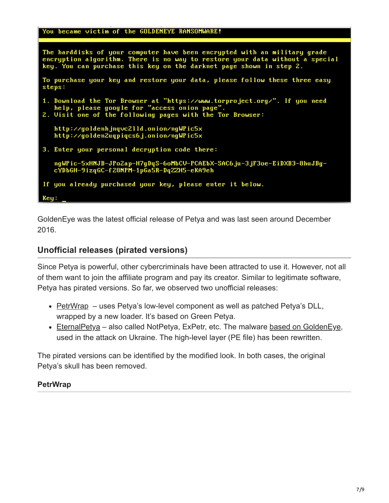```
You became victim of the GOLDENEYE RANSOMWARE!
```

```
The harddisks of your computer have been encrypted with an military grade
encryption algorithm. There is no way to restore your data without a special
key. You can purchase this key on the darknet page shown in step 2.
To purchase your key and restore your data, please follow these three easy
steps:
1. Download the Tor Browser at "https://www.torproject.org/". If you need help, please google for "access onion page".
2. Visit one of the following pages with the Tor Browser:
   http://goldenhjnqvc2lld.onion/ngWPic5x
   http://golden2uqpiqcs6j.onion/ngWPic5x
3. Enter your personal decryption code there:
   ngWPic-5xHNJB-JPo2ap-H7gDqS-6oMbCV-PCAEbX-SAC6ju-3jF3oe-EiDXB3-8huJBg-
   cYDbGH-9izqGC-f28NPM-1pGa5R-DqZZH5-eKA9eh
If you already purchased your key, please enter it below.
Key:
```
GoldenEye was the latest official release of Petya and was last seen around December 2016.

## **Unofficial releases (pirated versions)**

Since Petya is powerful, other cybercriminals have been attracted to use it. However, not all of them want to join the affiliate program and pay its creator. Similar to legitimate software, Petya has pirated versions. So far, we observed two unofficial releases:

- [PetrWrap](https://securelist.com/petrwrap-the-new-petya-based-ransomware-used-in-targeted-attacks/77762/)  uses Petya's low-level component as well as patched Petya's DLL, wrapped by a new loader. It's based on Green Petya.
- [EternalPetya](https://blog.malwarebytes.com/threat-analysis/2017/06/eternalpetya-yet-another-stolen-piece-package/)  also called NotPetya, ExPetr, etc. The malware [based on GoldenEye](https://blog.malwarebytes.com/threat-analysis/2017/06/eternalpetya-yet-another-stolen-piece-package/), used in the attack on Ukraine. The high-level layer (PE file) has been rewritten.

The pirated versions can be identified by the modified look. In both cases, the original Petya's skull has been removed.

## **PetrWrap**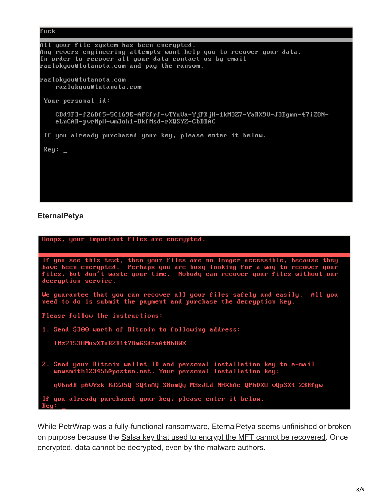```
Fuck
All your file system has been encrypted.
Any revers engineering attempts wont help you to recover your data.
In order to recover all your data contact us by email
razlokyou@tutanota.com and pay the ransom.
razlokyou@tutanota.com
   razlokyou@tutanota.com
Your personal id:
   CBd9F3-f26Df5-5C169E-AFCfrf-vTYuVa-YjPKjH-1kM3Z7-YaRX9V-J3Egmn-47iZ8N-
   eLnCAR-pvrNpH-wm3oh1-BkfMsd-rXQSYZ-CbBBAC
If you already purchased your key, please enter it below.
Key:
```
### **EternalPetya**

| Ooops, your important files are encrypted.                                                                                                                                                                                                                        |
|-------------------------------------------------------------------------------------------------------------------------------------------------------------------------------------------------------------------------------------------------------------------|
| If you see this text, then your files are no longer accessible, because they<br>have been encrypted. Perhaps you are busy looking for a way to recover your<br>files, but don't waste your time. Nobody can recover your files without our<br>decryption service. |
| We guarantee that you can recover all your files safely and easily. All you<br>need to do is submit the payment and purchase the decryption key.                                                                                                                  |
| Please follow the instructions:                                                                                                                                                                                                                                   |
| 1. Send \$300 worth of Bitcoin to following address:                                                                                                                                                                                                              |
| 1Mz7153HMuxXTuR2R1t78mGSdzaAtNbBWX                                                                                                                                                                                                                                |
| 2. Send your Bitcoin wallet ID and personal installation key to e-mail<br>wowsmith123456@posteo.net. Your personal installation key:                                                                                                                              |
| qVbndB-p6WYsk-RJZJ5Q-SQ4nAQ-S8omQy-M3zJLd-MHXhAc-QPhDXU-vQpSX4-Z3Rfgw                                                                                                                                                                                             |
| If you already purchased your key, please enter it below.<br>Key:                                                                                                                                                                                                 |

While PetrWrap was a fully-functional ransomware, EternalPetya seems unfinished or broken on purpose because the [Salsa key that used to encrypt the MFT cannot be recovered](https://blog.malwarebytes.com/threat-analysis/2017/06/eternalpetya-lost-salsa20-key/). Once encrypted, data cannot be decrypted, even by the malware authors.

8/9